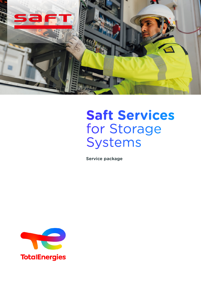

# **Saft Services** for Storage Systems

**Service package**

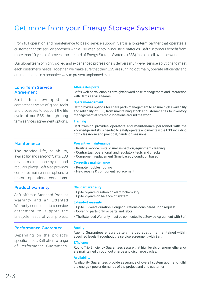# Get more from your Energy Storage Systems

From full operation and maintenance to basic service support, Saft is a long-term partner that operates a customer-centric service approach with a 100-year legacy in industrial batteries. Saft customers benefit from more than 10-years of proven track record of Energy Storage Systems (ESS) installed all over the world.

Our global team of highly skilled and experienced professionals delivers multi-level service solutions to meet each customer's needs. Together, we make sure that their ESS are running optimally, operate efficiently and are maintained in a proactive way to prevent unplanned events.

# Long Term Service Agreement

Saft has developed a comprehensive set of global tools and processes to support the life cycle of our ESS through long term services agreement options.

# **After-sales portal**

Saft's web portal enables straightforward case management and interaction with Saft's service teams.

#### **Spare management**

Saft provides options for spare parts management to ensure high availability and reliability of ESS, from maintaining stock at customer sites to inventory management at strategic locations around the world.

#### **Training**

Saft training provides operators and maintenance personnel with the knowledge and skills needed to safely operate and maintain the ESS, including both classroom and practical, hands-on sessions.

# **Maintenance**

The service life, reliability, availability and safety of Saft's ESS rely on maintenance cycles and regular upkeep. Saft also provides corrective maintenance options to restore operational conditions.

# Product warranty

Saft offers a Standard Product Warranty and an Extented Warranty connected to a service agreement to support the Lifecycle needs of your project.

# Performance Guarantee

Depending on the project's specific needs, Saft offers a range of Performance Guarantees.

#### **Preventive maintenance**

- Routine service visits, visual inspection, equipment cleaning
- Contractual, operational, and regulatory tests and checks
- Component replacement (time based / condition based)

## **Corrective maintenance**

- Remote troubleshooting
- Field repairs & component replacement

#### **Standard warranty**

- Up-to 5-years duration on electrochemistry
- Up-to 2-years on balance of system

#### **Extended warranty**

- Up-to 15-years duration. Longer durations considered upon request
- Covering parts only, or parts and labor
- The Extended Warranty must be connected to a Service Agreement with Saft

# **Ageing**

Ageing Guarantees ensure battery life degradation is maintained within specified levels throughout the service agreement with Saft.

#### **Efficiency**

Round Trip Efficiency Guarantees assure that high levels of energy efficiency are maintained throughout charge and discharge cycles.

#### **Availability**

Availability Guarantees provide assurance of overall system uptime to fulfill the energy / power demands of the project and end customer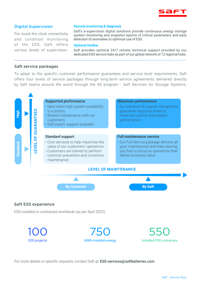

# Digital Supervision

For round the clock connectivity and condition monitoring of the ESS, Saft offers various levels of supervision.

#### **Remote montioring & diagnosis**

Saft's e-supervision digital solutions provide continuous energy storage system monitoring and snapshot reports of critical parameters and early detection of anomalies to optimize use of ESS.

#### **Optional Hotline**

Saft provides optional 24/7 remote technical support provided by our dedicated ESS service hubs as part of our global network of 12 regional hubs.

## Saft service packages

To adapt to the specific customer performance guarantees and service level requirements, Saft offers four levels of service packages through long-term service agreements delivered directly by Saft teams around the world through the 4S program - Saft Services for Storage Systems.



## Saft ESS experience

ESS installed or contracted worldwide (as per April 2022)